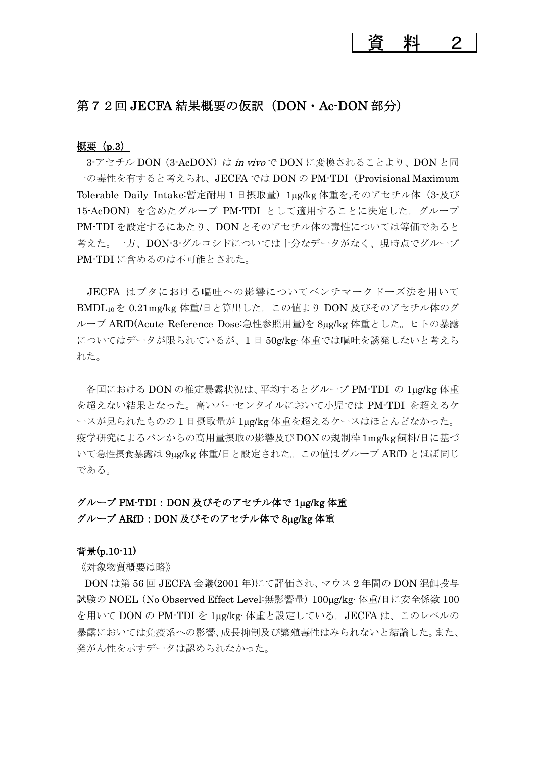資料 2

### 第72回 JECFA 結果概要の仮訳 (DON・Ac-DON 部分)

#### 概要(p.3)

3-アセチル DON (3-AcDON) は in vivo で DON に変換されることより、DON と同 一の毒性を有すると考えられ、JECFA では DON の PM-TDI(Provisional Maximum Tolerable Daily Intake:暫定耐用 1 日摂取量) 1μg/kg 体重を,そのアセチル体 (3-及び 15-AcDON)を含めたグループ PM-TDI として適用することに決定した。グループ PM-TDI を設定するにあたり、DON とそのアセチル体の毒性については等価であると 考えた。一方、DON-3-グルコシドについては十分なデータがなく、現時点でグループ PM-TDI に含めるのは不可能とされた。

JECFA はブタにおける嘔吐への影響についてベンチマークドーズ法を用いて BMDL10を 0.21mg/kg 体重/日と算出した。この値より DON 及びそのアセチル体のグ ループ ARfD(Acute Reference Dose:急性参照用量)を 8μg/kg 体重とした。ヒトの暴露 についてはデータが限られているが、1 日 50g/kg·体重では嘔吐を誘発しないと考えら れた。

 各国における DON の推定暴露状況は、平均するとグループ PM-TDI の 1μg/kg 体重 を超えない結果となった。高いパーセンタイルにおいて小児では PM-TDI を超えるケ ースが見られたものの 1 日摂取量が 1μg/kg 体重を超えるケースはほとんどなかった。 疫学研究によるパンからの高用量摂取の影響及びDONの規制枠1mg/kg飼料/日に基づ いて急性摂食暴露は 9μg/kg 体重/日と設定された。この値はグループ ARfD とほぼ同じ である。

# グループ PM-TDI:DON 及びそのアセチル体で 1μg/kg 体重

### グループ ARfD: DON 及びそのアセチル体で 8μg/kg 体重

### 背景(p.10-11)

《対象物質概要は略》

DON は第 56 回 JECFA 会議(2001 年)にて評価され、マウス 2 年間の DON 混餌投与 試験の NOEL(No Observed Effect Level:無影響量)100μg/kg·体重/日に安全係数 100 を用いて DON の PM-TDI を 1μg/kg·体重と設定している。JECFA は、このレベルの 暴露においては免疫系への影響、成長抑制及び繁殖毒性はみられないと結論した。また、 発がん性を示すデータは認められなかった。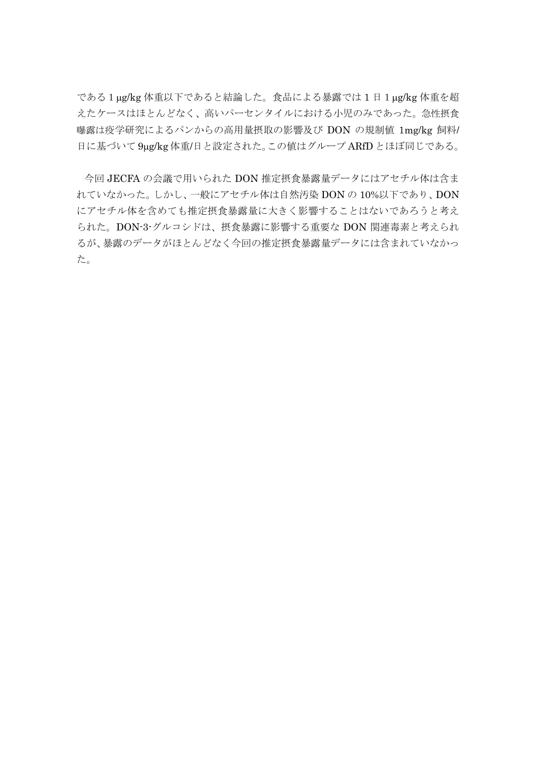である1μg/kg 体重以下であると結論した。食品による暴露では 1 日1μg/kg 体重を超 えたケースはほとんどなく、高いパーセンタイルにおける小児のみであった。急性摂食 曝露は疫学研究によるパンからの高用量摂取の影響及び DON の規制値 1mg/kg 飼料/ 日に基づいて 9μg/kg 体重/日と設定された。この値はグループ ARfD とほぼ同じである。

今回 JECFA の会議で用いられた DON 推定摂食暴露量データにはアセチル体は含ま れていなかった。しかし、一般にアセチル体は自然汚染 DON の 10%以下であり、DON にアセチル体を含めても推定摂食暴露量に大きく影響することはないであろうと考え られた。DON-3-グルコシドは、摂食暴露に影響する重要な DON 関連毒素と考えられ るが、暴露のデータがほとんどなく今回の推定摂食暴露量データには含まれていなかっ た。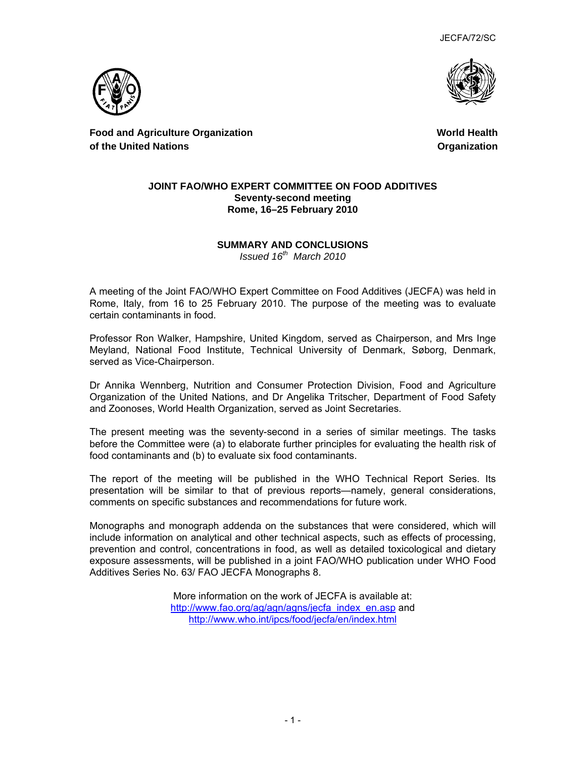JECFA/72/SC





**Food and Agriculture Organization of the United Nations** 

**World Health Organization**

#### **JOINT FAO/WHO EXPERT COMMITTEE ON FOOD ADDITIVES Seventy-second meeting Rome, 16–25 February 2010**

## **SUMMARY AND CONCLUSIONS**

*Issued 16th March 2010* 

A meeting of the Joint FAO/WHO Expert Committee on Food Additives (JECFA) was held in Rome, Italy, from 16 to 25 February 2010. The purpose of the meeting was to evaluate certain contaminants in food.

Professor Ron Walker, Hampshire, United Kingdom, served as Chairperson, and Mrs Inge Meyland, National Food Institute, Technical University of Denmark, Søborg, Denmark, served as Vice-Chairperson.

Dr Annika Wennberg, Nutrition and Consumer Protection Division, Food and Agriculture Organization of the United Nations, and Dr Angelika Tritscher, Department of Food Safety and Zoonoses, World Health Organization, served as Joint Secretaries.

The present meeting was the seventy-second in a series of similar meetings. The tasks before the Committee were (a) to elaborate further principles for evaluating the health risk of food contaminants and (b) to evaluate six food contaminants.

The report of the meeting will be published in the WHO Technical Report Series. Its presentation will be similar to that of previous reports—namely, general considerations, comments on specific substances and recommendations for future work.

Monographs and monograph addenda on the substances that were considered, which will include information on analytical and other technical aspects, such as effects of processing, prevention and control, concentrations in food, as well as detailed toxicological and dietary exposure assessments, will be published in a joint FAO/WHO publication under WHO Food Additives Series No. 63/ FAO JECFA Monographs 8.

> More information on the work of JECFA is available at: http://www.fao.org/ag/agn/agns/jecfa\_index\_en.asp and http://www.who.int/ipcs/food/jecfa/en/index.html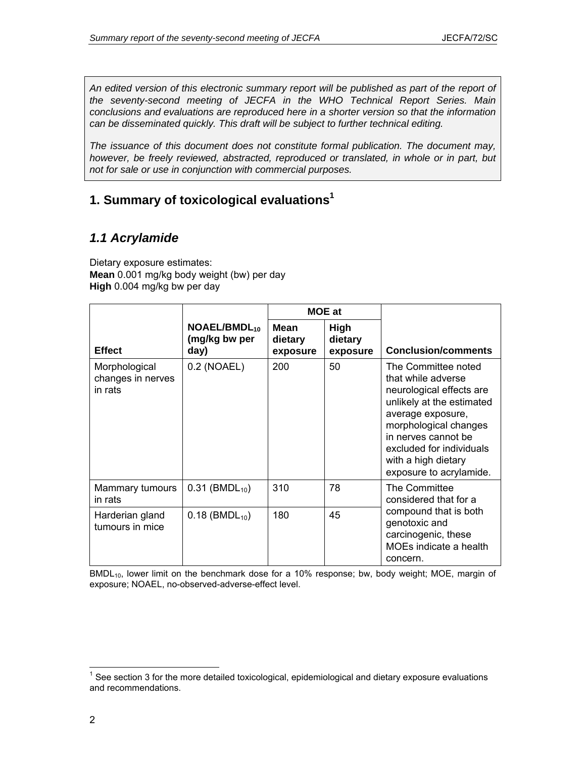An edited version of this electronic summary report will be published as part of the report of *the seventy-second meeting of JECFA in the WHO Technical Report Series. Main conclusions and evaluations are reproduced here in a shorter version so that the information can be disseminated quickly. This draft will be subject to further technical editing.* 

*The issuance of this document does not constitute formal publication. The document may, however, be freely reviewed, abstracted, reproduced or translated, in whole or in part, but not for sale or use in conjunction with commercial purposes.* 

## **1. Summary of toxicological evaluations1**

## *1.1 Acrylamide*

Dietary exposure estimates: **Mean** 0.001 mg/kg body weight (bw) per day **High** 0.004 mg/kg bw per day

|                                               |                                            | <b>MOE</b> at                      |                             |                                                                                                                                                                                                                                                       |  |
|-----------------------------------------------|--------------------------------------------|------------------------------------|-----------------------------|-------------------------------------------------------------------------------------------------------------------------------------------------------------------------------------------------------------------------------------------------------|--|
| <b>Effect</b>                                 | $NOAEL/BMDL_{10}$<br>(mg/kg bw per<br>day) | <b>Mean</b><br>dietary<br>exposure | High<br>dietary<br>exposure | <b>Conclusion/comments</b>                                                                                                                                                                                                                            |  |
| Morphological<br>changes in nerves<br>in rats | 0.2 (NOAEL)                                | 200                                | 50                          | The Committee noted<br>that while adverse<br>neurological effects are<br>unlikely at the estimated<br>average exposure,<br>morphological changes<br>in nerves cannot be<br>excluded for individuals<br>with a high dietary<br>exposure to acrylamide. |  |
| Mammary tumours<br>in rats                    | $0.31$ (BMDL <sub>10</sub> )               | 310                                | 78                          | The Committee<br>considered that for a                                                                                                                                                                                                                |  |
| Harderian gland<br>tumours in mice            | $0.18$ (BMDL <sub>10</sub> )               | 180                                | 45                          | compound that is both<br>genotoxic and<br>carcinogenic, these<br>MOEs indicate a health<br>concern.                                                                                                                                                   |  |

BMDL<sub>10</sub>, lower limit on the benchmark dose for a 10% response; bw, body weight; MOE, margin of exposure; NOAEL, no-observed-adverse-effect level.

 $\overline{a}$ 

 $1$  See section 3 for the more detailed toxicological, epidemiological and dietary exposure evaluations and recommendations.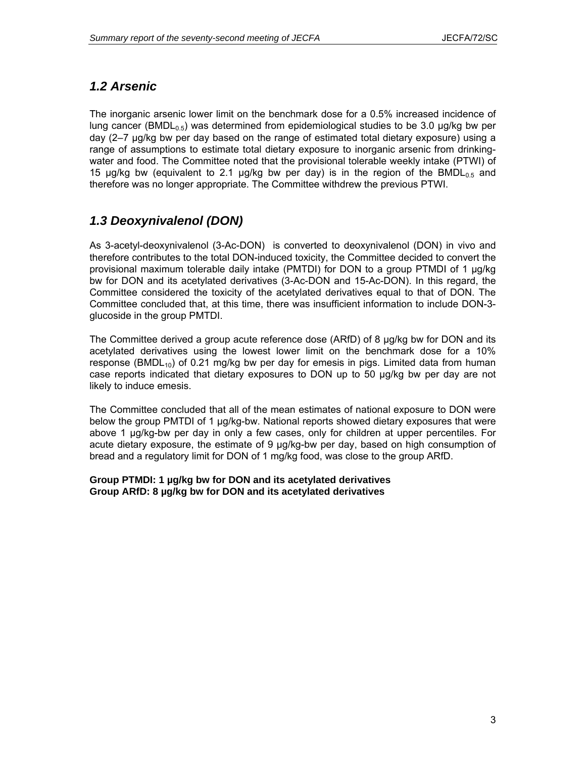## *1.2 Arsenic*

The inorganic arsenic lower limit on the benchmark dose for a 0.5% increased incidence of lung cancer (BMDL<sub>0.5</sub>) was determined from epidemiological studies to be 3.0  $\mu q/kg$  bw per day (2–7 µg/kg bw per day based on the range of estimated total dietary exposure) using a range of assumptions to estimate total dietary exposure to inorganic arsenic from drinkingwater and food. The Committee noted that the provisional tolerable weekly intake (PTWI) of 15 µg/kg bw (equivalent to 2.1 µg/kg bw per day) is in the region of the BMDL<sub>0.5</sub> and therefore was no longer appropriate. The Committee withdrew the previous PTWI.

## *1.3 Deoxynivalenol (DON)*

As 3-acetyl-deoxynivalenol (3-Ac-DON) is converted to deoxynivalenol (DON) in vivo and therefore contributes to the total DON-induced toxicity, the Committee decided to convert the provisional maximum tolerable daily intake (PMTDI) for DON to a group PTMDI of 1 µg/kg bw for DON and its acetylated derivatives (3-Ac-DON and 15-Ac-DON). In this regard, the Committee considered the toxicity of the acetylated derivatives equal to that of DON. The Committee concluded that, at this time, there was insufficient information to include DON-3 glucoside in the group PMTDI.

The Committee derived a group acute reference dose (ARfD) of 8  $\mu$ g/kg bw for DON and its acetylated derivatives using the lowest lower limit on the benchmark dose for a 10% response (BMDL<sub>10</sub>) of 0.21 mg/kg bw per day for emesis in pigs. Limited data from human case reports indicated that dietary exposures to DON up to 50 µg/kg bw per day are not likely to induce emesis.

The Committee concluded that all of the mean estimates of national exposure to DON were below the group PMTDI of 1 µg/kg-bw. National reports showed dietary exposures that were above 1 µg/kg-bw per day in only a few cases, only for children at upper percentiles. For acute dietary exposure, the estimate of 9 µg/kg-bw per day, based on high consumption of bread and a regulatory limit for DON of 1 mg/kg food, was close to the group ARfD.

**Group PTMDI: 1 µg/kg bw for DON and its acetylated derivatives Group ARfD: 8 µg/kg bw for DON and its acetylated derivatives**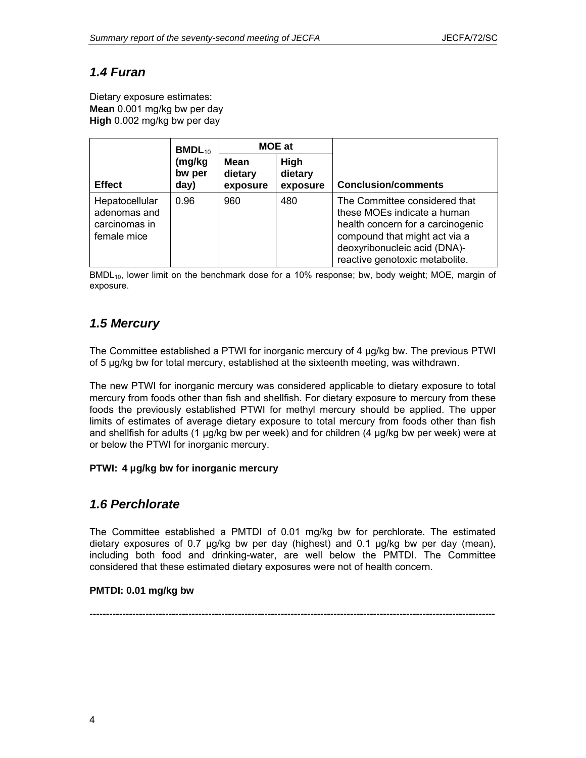## *1.4 Furan*

Dietary exposure estimates: **Mean** 0.001 mg/kg bw per day **High** 0.002 mg/kg bw per day

|                                                                | $BMDL_{10}$              | <b>MOE at</b>                      |                             |                                                                                                                                                                                                      |
|----------------------------------------------------------------|--------------------------|------------------------------------|-----------------------------|------------------------------------------------------------------------------------------------------------------------------------------------------------------------------------------------------|
| <b>Effect</b>                                                  | (mg/kg<br>bw per<br>day) | <b>Mean</b><br>dietary<br>exposure | High<br>dietary<br>exposure | <b>Conclusion/comments</b>                                                                                                                                                                           |
| Hepatocellular<br>adenomas and<br>carcinomas in<br>female mice | 0.96                     | 960                                | 480                         | The Committee considered that<br>these MOEs indicate a human<br>health concern for a carcinogenic<br>compound that might act via a<br>deoxyribonucleic acid (DNA)-<br>reactive genotoxic metabolite. |

BMDL<sub>10</sub>, lower limit on the benchmark dose for a 10% response; bw, body weight; MOE, margin of exposure.

## *1.5 Mercury*

The Committee established a PTWI for inorganic mercury of 4 µg/kg bw. The previous PTWI of 5 µg/kg bw for total mercury, established at the sixteenth meeting, was withdrawn.

The new PTWI for inorganic mercury was considered applicable to dietary exposure to total mercury from foods other than fish and shellfish. For dietary exposure to mercury from these foods the previously established PTWI for methyl mercury should be applied. The upper limits of estimates of average dietary exposure to total mercury from foods other than fish and shellfish for adults (1 µg/kg bw per week) and for children (4 µg/kg bw per week) were at or below the PTWI for inorganic mercury.

### **PTWI: 4 µg/kg bw for inorganic mercury**

### *1.6 Perchlorate*

The Committee established a PMTDI of 0.01 mg/kg bw for perchlorate. The estimated dietary exposures of 0.7 µg/kg bw per day (highest) and 0.1 µg/kg bw per day (mean), including both food and drinking-water, are well below the PMTDI. The Committee considered that these estimated dietary exposures were not of health concern.

### **PMTDI: 0.01 mg/kg bw**

**---------------------------------------------------------------------------------------------------------------------------**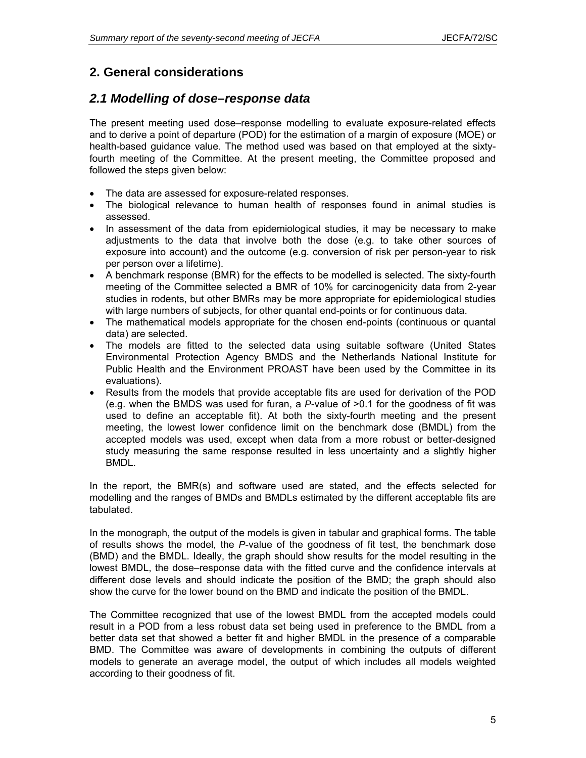## **2. General considerations**

### *2.1 Modelling of dose–response data*

The present meeting used dose–response modelling to evaluate exposure-related effects and to derive a point of departure (POD) for the estimation of a margin of exposure (MOE) or health-based guidance value. The method used was based on that employed at the sixtyfourth meeting of the Committee. At the present meeting, the Committee proposed and followed the steps given below:

- The data are assessed for exposure-related responses.
- The biological relevance to human health of responses found in animal studies is assessed.
- In assessment of the data from epidemiological studies, it may be necessary to make adjustments to the data that involve both the dose (e.g. to take other sources of exposure into account) and the outcome (e.g. conversion of risk per person-year to risk per person over a lifetime).
- A benchmark response (BMR) for the effects to be modelled is selected. The sixty-fourth meeting of the Committee selected a BMR of 10% for carcinogenicity data from 2-year studies in rodents, but other BMRs may be more appropriate for epidemiological studies with large numbers of subjects, for other quantal end-points or for continuous data.
- The mathematical models appropriate for the chosen end-points (continuous or quantal data) are selected.
- The models are fitted to the selected data using suitable software (United States Environmental Protection Agency BMDS and the Netherlands National Institute for Public Health and the Environment PROAST have been used by the Committee in its evaluations).
- Results from the models that provide acceptable fits are used for derivation of the POD (e.g. when the BMDS was used for furan, a *P*-value of >0.1 for the goodness of fit was used to define an acceptable fit). At both the sixty-fourth meeting and the present meeting, the lowest lower confidence limit on the benchmark dose (BMDL) from the accepted models was used, except when data from a more robust or better-designed study measuring the same response resulted in less uncertainty and a slightly higher BMDL.

In the report, the BMR(s) and software used are stated, and the effects selected for modelling and the ranges of BMDs and BMDLs estimated by the different acceptable fits are tabulated.

In the monograph, the output of the models is given in tabular and graphical forms. The table of results shows the model, the *P*-value of the goodness of fit test, the benchmark dose (BMD) and the BMDL. Ideally, the graph should show results for the model resulting in the lowest BMDL, the dose–response data with the fitted curve and the confidence intervals at different dose levels and should indicate the position of the BMD; the graph should also show the curve for the lower bound on the BMD and indicate the position of the BMDL.

The Committee recognized that use of the lowest BMDL from the accepted models could result in a POD from a less robust data set being used in preference to the BMDL from a better data set that showed a better fit and higher BMDL in the presence of a comparable BMD. The Committee was aware of developments in combining the outputs of different models to generate an average model, the output of which includes all models weighted according to their goodness of fit.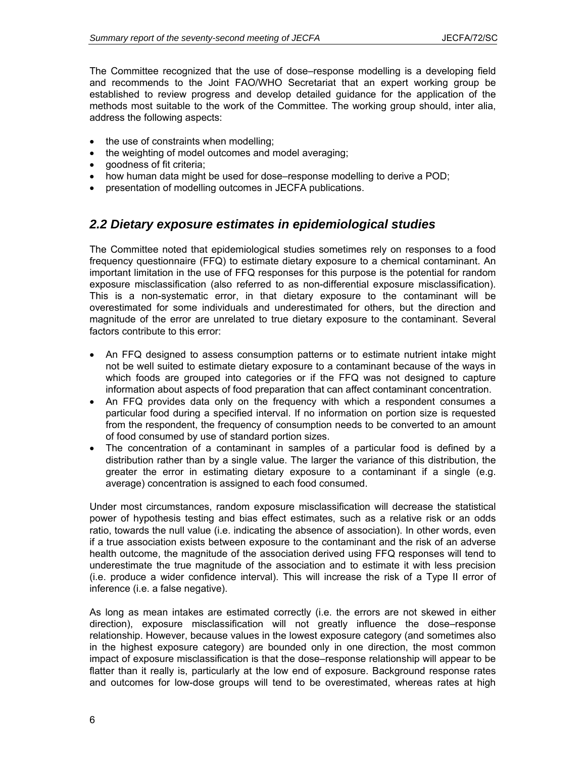The Committee recognized that the use of dose–response modelling is a developing field and recommends to the Joint FAO/WHO Secretariat that an expert working group be established to review progress and develop detailed guidance for the application of the methods most suitable to the work of the Committee. The working group should, inter alia, address the following aspects:

- the use of constraints when modelling;
- the weighting of model outcomes and model averaging;
- goodness of fit criteria;
- how human data might be used for dose–response modelling to derive a POD;
- presentation of modelling outcomes in JECFA publications.

## *2.2 Dietary exposure estimates in epidemiological studies*

The Committee noted that epidemiological studies sometimes rely on responses to a food frequency questionnaire (FFQ) to estimate dietary exposure to a chemical contaminant. An important limitation in the use of FFQ responses for this purpose is the potential for random exposure misclassification (also referred to as non-differential exposure misclassification). This is a non-systematic error, in that dietary exposure to the contaminant will be overestimated for some individuals and underestimated for others, but the direction and magnitude of the error are unrelated to true dietary exposure to the contaminant. Several factors contribute to this error:

- An FFQ designed to assess consumption patterns or to estimate nutrient intake might not be well suited to estimate dietary exposure to a contaminant because of the ways in which foods are grouped into categories or if the FFQ was not designed to capture information about aspects of food preparation that can affect contaminant concentration.
- An FFQ provides data only on the frequency with which a respondent consumes a particular food during a specified interval. If no information on portion size is requested from the respondent, the frequency of consumption needs to be converted to an amount of food consumed by use of standard portion sizes.
- The concentration of a contaminant in samples of a particular food is defined by a distribution rather than by a single value. The larger the variance of this distribution, the greater the error in estimating dietary exposure to a contaminant if a single (e.g. average) concentration is assigned to each food consumed.

Under most circumstances, random exposure misclassification will decrease the statistical power of hypothesis testing and bias effect estimates, such as a relative risk or an odds ratio, towards the null value (i.e. indicating the absence of association). In other words, even if a true association exists between exposure to the contaminant and the risk of an adverse health outcome, the magnitude of the association derived using FFQ responses will tend to underestimate the true magnitude of the association and to estimate it with less precision (i.e. produce a wider confidence interval). This will increase the risk of a Type II error of inference (i.e. a false negative).

As long as mean intakes are estimated correctly (i.e. the errors are not skewed in either direction), exposure misclassification will not greatly influence the dose–response relationship. However, because values in the lowest exposure category (and sometimes also in the highest exposure category) are bounded only in one direction, the most common impact of exposure misclassification is that the dose–response relationship will appear to be flatter than it really is, particularly at the low end of exposure. Background response rates and outcomes for low-dose groups will tend to be overestimated, whereas rates at high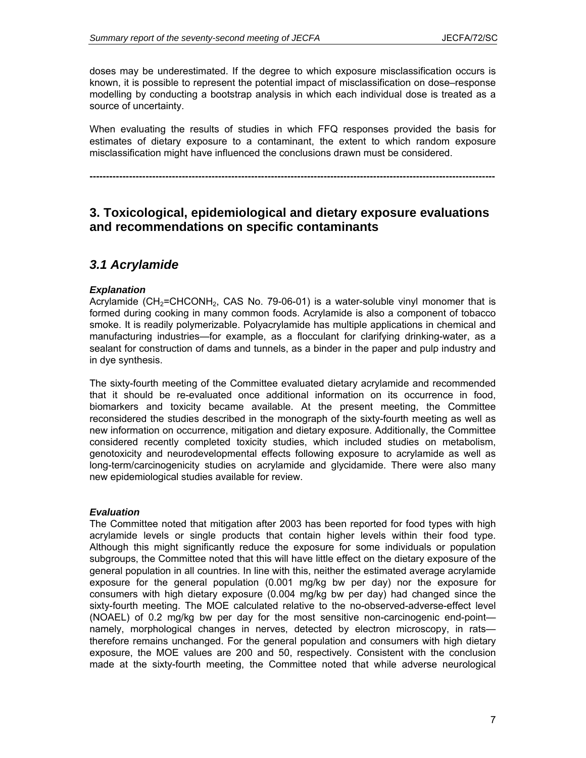doses may be underestimated. If the degree to which exposure misclassification occurs is known, it is possible to represent the potential impact of misclassification on dose–response modelling by conducting a bootstrap analysis in which each individual dose is treated as a source of uncertainty.

When evaluating the results of studies in which FFQ responses provided the basis for estimates of dietary exposure to a contaminant, the extent to which random exposure misclassification might have influenced the conclusions drawn must be considered.

**---------------------------------------------------------------------------------------------------------------------------** 

### **3. Toxicological, epidemiological and dietary exposure evaluations and recommendations on specific contaminants**

### *3.1 Acrylamide*

### *Explanation*

Acrylamide (CH<sub>2</sub>=CHCONH<sub>2</sub>, CAS No. 79-06-01) is a water-soluble vinyl monomer that is formed during cooking in many common foods. Acrylamide is also a component of tobacco smoke. It is readily polymerizable. Polyacrylamide has multiple applications in chemical and manufacturing industries—for example, as a flocculant for clarifying drinking-water, as a sealant for construction of dams and tunnels, as a binder in the paper and pulp industry and in dye synthesis.

The sixty-fourth meeting of the Committee evaluated dietary acrylamide and recommended that it should be re-evaluated once additional information on its occurrence in food, biomarkers and toxicity became available. At the present meeting, the Committee reconsidered the studies described in the monograph of the sixty-fourth meeting as well as new information on occurrence, mitigation and dietary exposure. Additionally, the Committee considered recently completed toxicity studies, which included studies on metabolism, genotoxicity and neurodevelopmental effects following exposure to acrylamide as well as long-term/carcinogenicity studies on acrylamide and glycidamide. There were also many new epidemiological studies available for review.

#### *Evaluation*

The Committee noted that mitigation after 2003 has been reported for food types with high acrylamide levels or single products that contain higher levels within their food type. Although this might significantly reduce the exposure for some individuals or population subgroups, the Committee noted that this will have little effect on the dietary exposure of the general population in all countries. In line with this, neither the estimated average acrylamide exposure for the general population (0.001 mg/kg bw per day) nor the exposure for consumers with high dietary exposure (0.004 mg/kg bw per day) had changed since the sixty-fourth meeting. The MOE calculated relative to the no-observed-adverse-effect level (NOAEL) of 0.2 mg/kg bw per day for the most sensitive non-carcinogenic end-point namely, morphological changes in nerves, detected by electron microscopy, in rats therefore remains unchanged. For the general population and consumers with high dietary exposure, the MOE values are 200 and 50, respectively. Consistent with the conclusion made at the sixty-fourth meeting, the Committee noted that while adverse neurological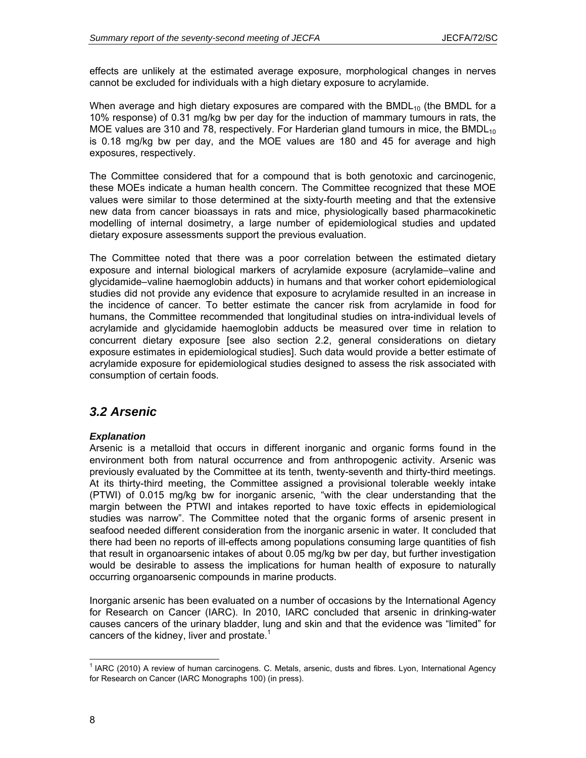effects are unlikely at the estimated average exposure, morphological changes in nerves cannot be excluded for individuals with a high dietary exposure to acrylamide.

When average and high dietary exposures are compared with the BMDL $_{10}$  (the BMDL for a 10% response) of 0.31 mg/kg bw per day for the induction of mammary tumours in rats, the MOE values are 310 and 78, respectively. For Harderian gland tumours in mice, the BMDL $_{10}$ is 0.18 mg/kg bw per day, and the MOE values are 180 and 45 for average and high exposures, respectively.

The Committee considered that for a compound that is both genotoxic and carcinogenic, these MOEs indicate a human health concern. The Committee recognized that these MOE values were similar to those determined at the sixty-fourth meeting and that the extensive new data from cancer bioassays in rats and mice, physiologically based pharmacokinetic modelling of internal dosimetry, a large number of epidemiological studies and updated dietary exposure assessments support the previous evaluation.

The Committee noted that there was a poor correlation between the estimated dietary exposure and internal biological markers of acrylamide exposure (acrylamide–valine and glycidamide–valine haemoglobin adducts) in humans and that worker cohort epidemiological studies did not provide any evidence that exposure to acrylamide resulted in an increase in the incidence of cancer. To better estimate the cancer risk from acrylamide in food for humans, the Committee recommended that longitudinal studies on intra-individual levels of acrylamide and glycidamide haemoglobin adducts be measured over time in relation to concurrent dietary exposure [see also section 2.2, general considerations on dietary exposure estimates in epidemiological studies]. Such data would provide a better estimate of acrylamide exposure for epidemiological studies designed to assess the risk associated with consumption of certain foods.

### *3.2 Arsenic*

### *Explanation*

Arsenic is a metalloid that occurs in different inorganic and organic forms found in the environment both from natural occurrence and from anthropogenic activity. Arsenic was previously evaluated by the Committee at its tenth, twenty-seventh and thirty-third meetings. At its thirty-third meeting, the Committee assigned a provisional tolerable weekly intake (PTWI) of 0.015 mg/kg bw for inorganic arsenic, "with the clear understanding that the margin between the PTWI and intakes reported to have toxic effects in epidemiological studies was narrow". The Committee noted that the organic forms of arsenic present in seafood needed different consideration from the inorganic arsenic in water. It concluded that there had been no reports of ill-effects among populations consuming large quantities of fish that result in organoarsenic intakes of about 0.05 mg/kg bw per day, but further investigation would be desirable to assess the implications for human health of exposure to naturally occurring organoarsenic compounds in marine products.

Inorganic arsenic has been evaluated on a number of occasions by the International Agency for Research on Cancer (IARC). In 2010, IARC concluded that arsenic in drinking-water causes cancers of the urinary bladder, lung and skin and that the evidence was "limited" for cancers of the kidney, liver and prostate.<sup>1</sup>

l

<sup>&</sup>lt;sup>1</sup> IARC (2010) A review of human carcinogens. C. Metals, arsenic, dusts and fibres. Lyon, International Agency for Research on Cancer (IARC Monographs 100) (in press).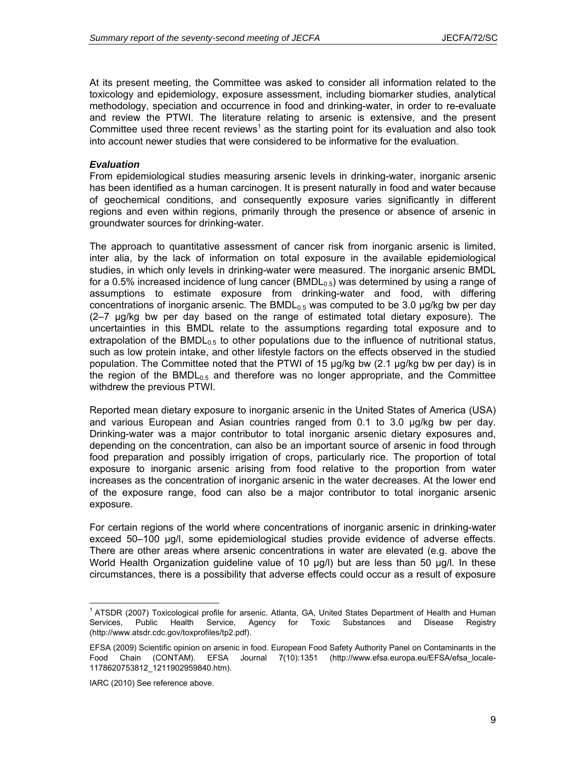At its present meeting, the Committee was asked to consider all information related to the toxicology and epidemiology, exposure assessment, including biomarker studies, analytical methodology, speciation and occurrence in food and drinking-water, in order to re-evaluate and review the PTWI. The literature relating to arsenic is extensive, and the present Committee used three recent reviews<sup>1</sup> as the starting point for its evaluation and also took into account newer studies that were considered to be informative for the evaluation.

#### *Evaluation*

From epidemiological studies measuring arsenic levels in drinking-water, inorganic arsenic has been identified as a human carcinogen. It is present naturally in food and water because of geochemical conditions, and consequently exposure varies significantly in different regions and even within regions, primarily through the presence or absence of arsenic in groundwater sources for drinking-water.

The approach to quantitative assessment of cancer risk from inorganic arsenic is limited, inter alia, by the lack of information on total exposure in the available epidemiological studies, in which only levels in drinking-water were measured. The inorganic arsenic BMDL for a 0.5% increased incidence of lung cancer  $(BMDL_{0.5})$  was determined by using a range of assumptions to estimate exposure from drinking-water and food, with differing concentrations of inorganic arsenic. The  $BMDL_{0.5}$  was computed to be 3.0  $\mu g/kg$  bw per day (2–7 µg/kg bw per day based on the range of estimated total dietary exposure). The uncertainties in this BMDL relate to the assumptions regarding total exposure and to extrapolation of the BMDL<sub>0.5</sub> to other populations due to the influence of nutritional status, such as low protein intake, and other lifestyle factors on the effects observed in the studied population. The Committee noted that the PTWI of 15 µg/kg bw (2.1 µg/kg bw per day) is in the region of the BMDL<sub>0.5</sub> and therefore was no longer appropriate, and the Committee withdrew the previous PTWI.

Reported mean dietary exposure to inorganic arsenic in the United States of America (USA) and various European and Asian countries ranged from 0.1 to 3.0 µg/kg bw per day. Drinking-water was a major contributor to total inorganic arsenic dietary exposures and, depending on the concentration, can also be an important source of arsenic in food through food preparation and possibly irrigation of crops, particularly rice. The proportion of total exposure to inorganic arsenic arising from food relative to the proportion from water increases as the concentration of inorganic arsenic in the water decreases. At the lower end of the exposure range, food can also be a major contributor to total inorganic arsenic exposure.

For certain regions of the world where concentrations of inorganic arsenic in drinking-water exceed 50–100 µg/l, some epidemiological studies provide evidence of adverse effects. There are other areas where arsenic concentrations in water are elevated (e.g. above the World Health Organization guideline value of 10 µg/l) but are less than 50 µg/l. In these circumstances, there is a possibility that adverse effects could occur as a result of exposure

IARC (2010) See reference above.

l

<sup>&</sup>lt;sup>1</sup> ATSDR (2007) Toxicological profile for arsenic. Atlanta, GA, United States Department of Health and Human Services, Public Health Service, Agency for Toxic Substances and Disease Registry (http://www.atsdr.cdc.gov/toxprofiles/tp2.pdf).

EFSA (2009) Scientific opinion on arsenic in food. European Food Safety Authority Panel on Contaminants in the Food Chain (CONTAM). EFSA Journal 7(10):1351 (http://www.efsa.europa.eu/EFSA/efsa\_locale-1178620753812\_1211902959840.htm).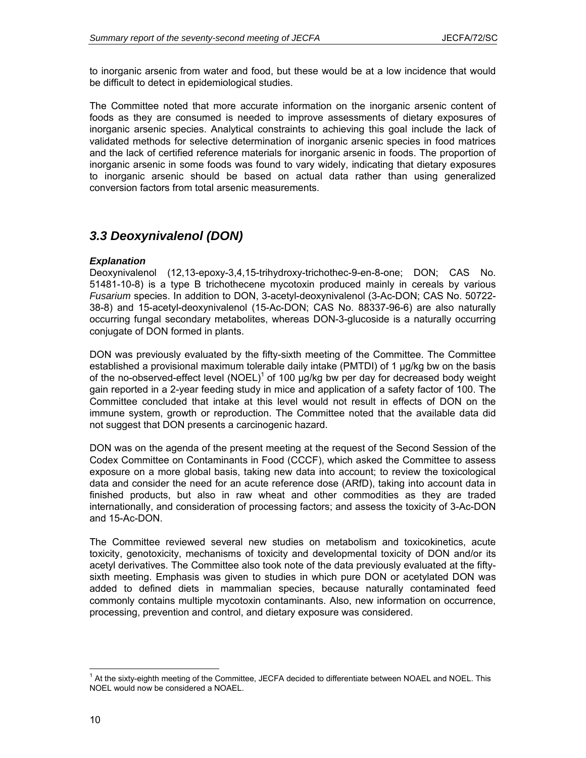to inorganic arsenic from water and food, but these would be at a low incidence that would be difficult to detect in epidemiological studies.

The Committee noted that more accurate information on the inorganic arsenic content of foods as they are consumed is needed to improve assessments of dietary exposures of inorganic arsenic species. Analytical constraints to achieving this goal include the lack of validated methods for selective determination of inorganic arsenic species in food matrices and the lack of certified reference materials for inorganic arsenic in foods. The proportion of inorganic arsenic in some foods was found to vary widely, indicating that dietary exposures to inorganic arsenic should be based on actual data rather than using generalized conversion factors from total arsenic measurements.

## *3.3 Deoxynivalenol (DON)*

### *Explanation*

Deoxynivalenol (12,13-epoxy-3,4,15-trihydroxy-trichothec-9-en-8-one; DON; CAS No. 51481-10-8) is a type B trichothecene mycotoxin produced mainly in cereals by various *Fusarium* species. In addition to DON, 3-acetyl-deoxynivalenol (3-Ac-DON; CAS No. 50722- 38-8) and 15-acetyl-deoxynivalenol (15-Ac-DON; CAS No. 88337-96-6) are also naturally occurring fungal secondary metabolites, whereas DON-3-glucoside is a naturally occurring conjugate of DON formed in plants.

DON was previously evaluated by the fifty-sixth meeting of the Committee. The Committee established a provisional maximum tolerable daily intake (PMTDI) of 1 µg/kg bw on the basis of the no-observed-effect level (NOEL)<sup>1</sup> of 100  $\mu$ g/kg bw per day for decreased body weight gain reported in a 2-year feeding study in mice and application of a safety factor of 100. The Committee concluded that intake at this level would not result in effects of DON on the immune system, growth or reproduction. The Committee noted that the available data did not suggest that DON presents a carcinogenic hazard.

DON was on the agenda of the present meeting at the request of the Second Session of the Codex Committee on Contaminants in Food (CCCF), which asked the Committee to assess exposure on a more global basis, taking new data into account; to review the toxicological data and consider the need for an acute reference dose (ARfD), taking into account data in finished products, but also in raw wheat and other commodities as they are traded internationally, and consideration of processing factors; and assess the toxicity of 3-Ac-DON and 15-Ac-DON.

The Committee reviewed several new studies on metabolism and toxicokinetics, acute toxicity, genotoxicity, mechanisms of toxicity and developmental toxicity of DON and/or its acetyl derivatives. The Committee also took note of the data previously evaluated at the fiftysixth meeting. Emphasis was given to studies in which pure DON or acetylated DON was added to defined diets in mammalian species, because naturally contaminated feed commonly contains multiple mycotoxin contaminants. Also, new information on occurrence, processing, prevention and control, and dietary exposure was considered.

 $\overline{a}$ 

<sup>&</sup>lt;sup>1</sup> At the sixty-eighth meeting of the Committee, JECFA decided to differentiate between NOAEL and NOEL. This NOEL would now be considered a NOAEL.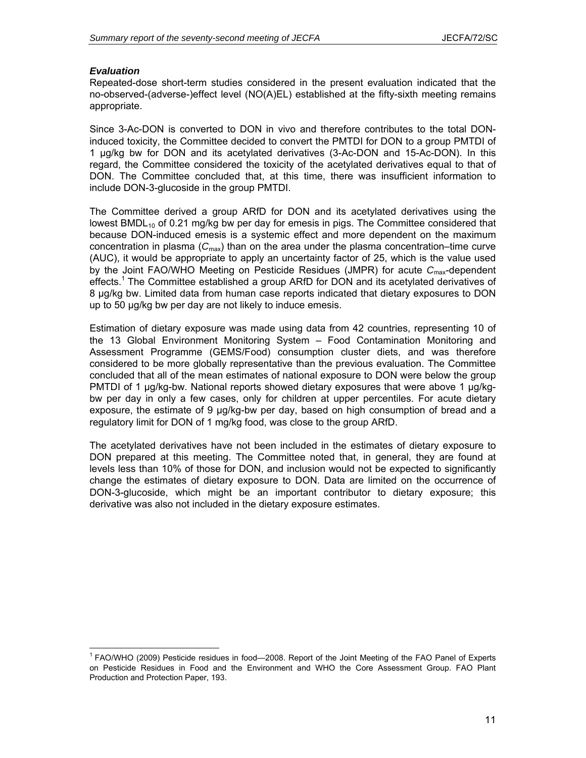#### *Evaluation*

l

Repeated-dose short-term studies considered in the present evaluation indicated that the no-observed-(adverse-)effect level (NO(A)EL) established at the fifty-sixth meeting remains appropriate.

Since 3-Ac-DON is converted to DON in vivo and therefore contributes to the total DONinduced toxicity, the Committee decided to convert the PMTDI for DON to a group PMTDI of 1 µg/kg bw for DON and its acetylated derivatives (3-Ac-DON and 15-Ac-DON). In this regard, the Committee considered the toxicity of the acetylated derivatives equal to that of DON. The Committee concluded that, at this time, there was insufficient information to include DON-3-glucoside in the group PMTDI.

The Committee derived a group ARfD for DON and its acetylated derivatives using the lowest BMDL<sub>10</sub> of 0.21 mg/kg bw per day for emesis in pigs. The Committee considered that because DON-induced emesis is a systemic effect and more dependent on the maximum concentration in plasma  $(C_{\text{max}})$  than on the area under the plasma concentration–time curve (AUC), it would be appropriate to apply an uncertainty factor of 25, which is the value used by the Joint FAO/WHO Meeting on Pesticide Residues (JMPR) for acute *C*max-dependent effects.<sup>1</sup> The Committee established a group ARfD for DON and its acetylated derivatives of 8 µg/kg bw. Limited data from human case reports indicated that dietary exposures to DON up to 50 µg/kg bw per day are not likely to induce emesis.

Estimation of dietary exposure was made using data from 42 countries, representing 10 of the 13 Global Environment Monitoring System – Food Contamination Monitoring and Assessment Programme (GEMS/Food) consumption cluster diets, and was therefore considered to be more globally representative than the previous evaluation. The Committee concluded that all of the mean estimates of national exposure to DON were below the group PMTDI of 1 µg/kg-bw. National reports showed dietary exposures that were above 1 µg/kgbw per day in only a few cases, only for children at upper percentiles. For acute dietary exposure, the estimate of 9 µg/kg-bw per day, based on high consumption of bread and a regulatory limit for DON of 1 mg/kg food, was close to the group ARfD.

The acetylated derivatives have not been included in the estimates of dietary exposure to DON prepared at this meeting. The Committee noted that, in general, they are found at levels less than 10% of those for DON, and inclusion would not be expected to significantly change the estimates of dietary exposure to DON. Data are limited on the occurrence of DON-3-glucoside, which might be an important contributor to dietary exposure; this derivative was also not included in the dietary exposure estimates.

<sup>&</sup>lt;sup>1</sup> FAO/WHO (2009) Pesticide residues in food-2008. Report of the Joint Meeting of the FAO Panel of Experts on Pesticide Residues in Food and the Environment and WHO the Core Assessment Group. FAO Plant Production and Protection Paper, 193.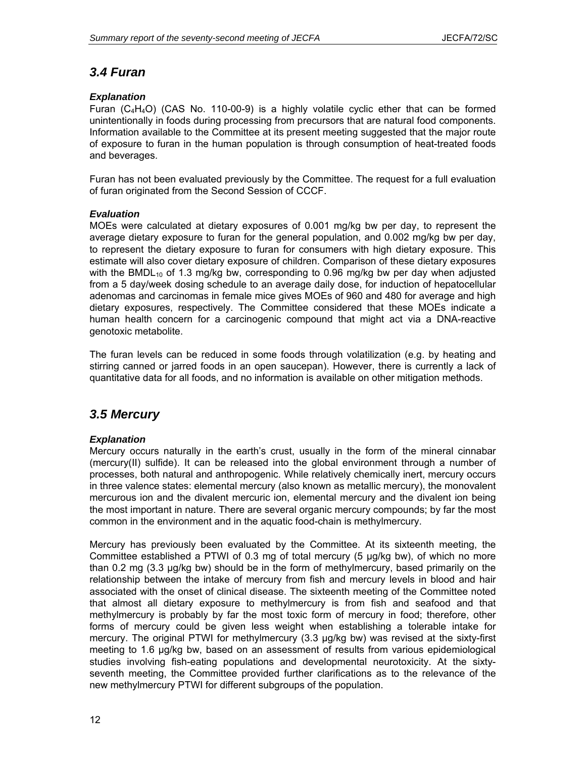## *3.4 Furan*

### *Explanation*

Furan (C<sub>4</sub>H<sub>4</sub>O) (CAS No. 110-00-9) is a highly volatile cyclic ether that can be formed unintentionally in foods during processing from precursors that are natural food components. Information available to the Committee at its present meeting suggested that the major route of exposure to furan in the human population is through consumption of heat-treated foods and beverages.

Furan has not been evaluated previously by the Committee. The request for a full evaluation of furan originated from the Second Session of CCCF.

### *Evaluation*

MOEs were calculated at dietary exposures of 0.001 mg/kg bw per day, to represent the average dietary exposure to furan for the general population, and 0.002 mg/kg bw per day, to represent the dietary exposure to furan for consumers with high dietary exposure. This estimate will also cover dietary exposure of children. Comparison of these dietary exposures with the BMDL<sub>10</sub> of 1.3 mg/kg bw, corresponding to 0.96 mg/kg bw per day when adjusted from a 5 day/week dosing schedule to an average daily dose, for induction of hepatocellular adenomas and carcinomas in female mice gives MOEs of 960 and 480 for average and high dietary exposures, respectively. The Committee considered that these MOEs indicate a human health concern for a carcinogenic compound that might act via a DNA-reactive genotoxic metabolite.

The furan levels can be reduced in some foods through volatilization (e.g. by heating and stirring canned or jarred foods in an open saucepan). However, there is currently a lack of quantitative data for all foods, and no information is available on other mitigation methods.

## *3.5 Mercury*

### *Explanation*

Mercury occurs naturally in the earth's crust, usually in the form of the mineral cinnabar (mercury(II) sulfide). It can be released into the global environment through a number of processes, both natural and anthropogenic. While relatively chemically inert, mercury occurs in three valence states: elemental mercury (also known as metallic mercury), the monovalent mercurous ion and the divalent mercuric ion, elemental mercury and the divalent ion being the most important in nature. There are several organic mercury compounds; by far the most common in the environment and in the aquatic food-chain is methylmercury.

Mercury has previously been evaluated by the Committee. At its sixteenth meeting, the Committee established a PTWI of 0.3 mg of total mercury (5 µg/kg bw), of which no more than 0.2 mg (3.3 µg/kg bw) should be in the form of methylmercury, based primarily on the relationship between the intake of mercury from fish and mercury levels in blood and hair associated with the onset of clinical disease. The sixteenth meeting of the Committee noted that almost all dietary exposure to methylmercury is from fish and seafood and that methylmercury is probably by far the most toxic form of mercury in food; therefore, other forms of mercury could be given less weight when establishing a tolerable intake for mercury. The original PTWI for methylmercury (3.3 µg/kg bw) was revised at the sixty-first meeting to 1.6 µg/kg bw, based on an assessment of results from various epidemiological studies involving fish-eating populations and developmental neurotoxicity. At the sixtyseventh meeting, the Committee provided further clarifications as to the relevance of the new methylmercury PTWI for different subgroups of the population.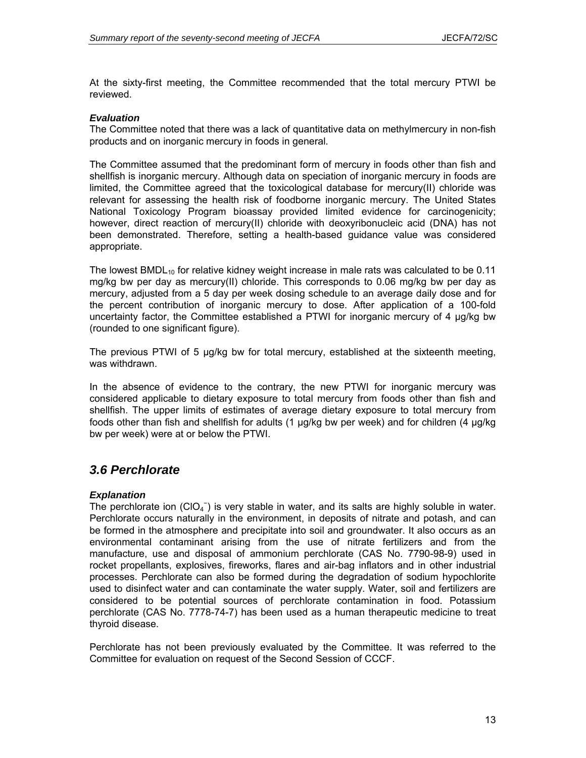At the sixty-first meeting, the Committee recommended that the total mercury PTWI be reviewed.

#### *Evaluation*

The Committee noted that there was a lack of quantitative data on methylmercury in non-fish products and on inorganic mercury in foods in general.

The Committee assumed that the predominant form of mercury in foods other than fish and shellfish is inorganic mercury. Although data on speciation of inorganic mercury in foods are limited, the Committee agreed that the toxicological database for mercury(II) chloride was relevant for assessing the health risk of foodborne inorganic mercury. The United States National Toxicology Program bioassay provided limited evidence for carcinogenicity; however, direct reaction of mercury(II) chloride with deoxyribonucleic acid (DNA) has not been demonstrated. Therefore, setting a health-based guidance value was considered appropriate.

The lowest BMDL<sub>10</sub> for relative kidney weight increase in male rats was calculated to be 0.11 mg/kg bw per day as mercury(II) chloride. This corresponds to 0.06 mg/kg bw per day as mercury, adjusted from a 5 day per week dosing schedule to an average daily dose and for the percent contribution of inorganic mercury to dose. After application of a 100-fold uncertainty factor, the Committee established a PTWI for inorganic mercury of 4  $\mu q/kg$  bw (rounded to one significant figure).

The previous PTWI of 5 µg/kg bw for total mercury, established at the sixteenth meeting, was withdrawn.

In the absence of evidence to the contrary, the new PTWI for inorganic mercury was considered applicable to dietary exposure to total mercury from foods other than fish and shellfish. The upper limits of estimates of average dietary exposure to total mercury from foods other than fish and shellfish for adults (1 µg/kg bw per week) and for children (4 µg/kg bw per week) were at or below the PTWI.

### *3.6 Perchlorate*

#### *Explanation*

The perchlorate ion  $(CIO_4^-)$  is very stable in water, and its salts are highly soluble in water. Perchlorate occurs naturally in the environment, in deposits of nitrate and potash, and can be formed in the atmosphere and precipitate into soil and groundwater. It also occurs as an environmental contaminant arising from the use of nitrate fertilizers and from the manufacture, use and disposal of ammonium perchlorate (CAS No. 7790-98-9) used in rocket propellants, explosives, fireworks, flares and air-bag inflators and in other industrial processes. Perchlorate can also be formed during the degradation of sodium hypochlorite used to disinfect water and can contaminate the water supply. Water, soil and fertilizers are considered to be potential sources of perchlorate contamination in food. Potassium perchlorate (CAS No. 7778-74-7) has been used as a human therapeutic medicine to treat thyroid disease.

Perchlorate has not been previously evaluated by the Committee. It was referred to the Committee for evaluation on request of the Second Session of CCCF.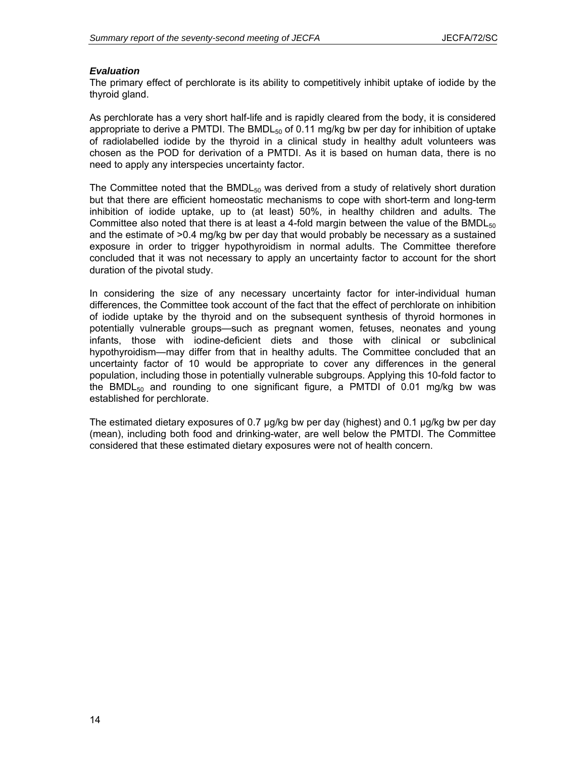#### *Evaluation*

The primary effect of perchlorate is its ability to competitively inhibit uptake of iodide by the thyroid gland.

As perchlorate has a very short half-life and is rapidly cleared from the body, it is considered appropriate to derive a PMTDI. The  $BMDL_{50}$  of 0.11 mg/kg bw per day for inhibition of uptake of radiolabelled iodide by the thyroid in a clinical study in healthy adult volunteers was chosen as the POD for derivation of a PMTDI. As it is based on human data, there is no need to apply any interspecies uncertainty factor.

The Committee noted that the  $BMDL_{50}$  was derived from a study of relatively short duration but that there are efficient homeostatic mechanisms to cope with short-term and long-term inhibition of iodide uptake, up to (at least) 50%, in healthy children and adults. The Committee also noted that there is at least a 4-fold margin between the value of the BMDL $_{50}$ and the estimate of >0.4 mg/kg bw per day that would probably be necessary as a sustained exposure in order to trigger hypothyroidism in normal adults. The Committee therefore concluded that it was not necessary to apply an uncertainty factor to account for the short duration of the pivotal study.

In considering the size of any necessary uncertainty factor for inter-individual human differences, the Committee took account of the fact that the effect of perchlorate on inhibition of iodide uptake by the thyroid and on the subsequent synthesis of thyroid hormones in potentially vulnerable groups—such as pregnant women, fetuses, neonates and young infants, those with iodine-deficient diets and those with clinical or subclinical hypothyroidism—may differ from that in healthy adults. The Committee concluded that an uncertainty factor of 10 would be appropriate to cover any differences in the general population, including those in potentially vulnerable subgroups. Applying this 10-fold factor to the BMDL<sub>50</sub> and rounding to one significant figure, a PMTDI of 0.01 mg/kg bw was established for perchlorate.

The estimated dietary exposures of 0.7 µg/kg bw per day (highest) and 0.1 µg/kg bw per day (mean), including both food and drinking-water, are well below the PMTDI. The Committee considered that these estimated dietary exposures were not of health concern.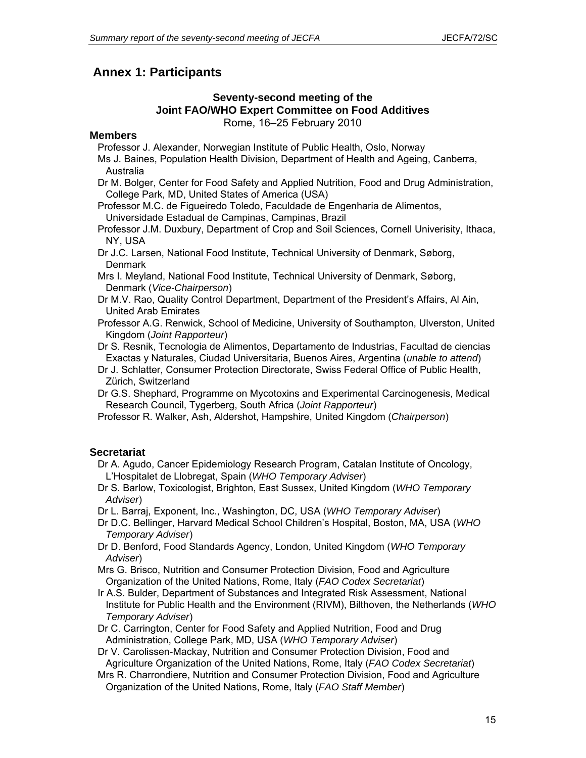## **Annex 1: Participants**

### **Seventy-second meeting of the Joint FAO/WHO Expert Committee on Food Additives**  Rome, 16–25 February 2010

### **Members**

Professor J. Alexander, Norwegian Institute of Public Health, Oslo, Norway

Ms J. Baines, Population Health Division, Department of Health and Ageing, Canberra, Australia

Dr M. Bolger, Center for Food Safety and Applied Nutrition, Food and Drug Administration, College Park, MD, United States of America (USA)

Professor M.C. de Figueiredo Toledo, Faculdade de Engenharia de Alimentos, Universidade Estadual de Campinas, Campinas, Brazil

Professor J.M. Duxbury, Department of Crop and Soil Sciences, Cornell Univerisity, Ithaca, NY, USA

Dr J.C. Larsen, National Food Institute, Technical University of Denmark, Søborg, **Denmark** 

Mrs I. Meyland, National Food Institute, Technical University of Denmark, Søborg, Denmark (*Vice-Chairperson*)

Dr M.V. Rao, Quality Control Department, Department of the President's Affairs, Al Ain, United Arab Emirates

Professor A.G. Renwick, School of Medicine, University of Southampton, Ulverston, United Kingdom (*Joint Rapporteur*)

Dr S. Resnik, Tecnologia de Alimentos, Departamento de Industrias, Facultad de ciencias Exactas y Naturales, Ciudad Universitaria, Buenos Aires, Argentina (*unable to attend*)

Dr J. Schlatter, Consumer Protection Directorate, Swiss Federal Office of Public Health, Zürich, Switzerland

Dr G.S. Shephard, Programme on Mycotoxins and Experimental Carcinogenesis, Medical Research Council, Tygerberg, South Africa (*Joint Rapporteur*)

Professor R. Walker, Ash, Aldershot, Hampshire, United Kingdom (*Chairperson*)

### **Secretariat**

Dr A. Agudo, Cancer Epidemiology Research Program, Catalan Institute of Oncology, L'Hospitalet de Llobregat, Spain (*WHO Temporary Adviser*)

Dr S. Barlow, Toxicologist, Brighton, East Sussex, United Kingdom (*WHO Temporary Adviser*)

Dr L. Barraj, Exponent, Inc., Washington, DC, USA (*WHO Temporary Adviser*)

Dr D.C. Bellinger, Harvard Medical School Children's Hospital, Boston, MA, USA (*WHO Temporary Adviser*)

Dr D. Benford, Food Standards Agency, London, United Kingdom (*WHO Temporary Adviser*)

Mrs G. Brisco, Nutrition and Consumer Protection Division, Food and Agriculture Organization of the United Nations, Rome, Italy (*FAO Codex Secretariat*)

Ir A.S. Bulder, Department of Substances and Integrated Risk Assessment, National Institute for Public Health and the Environment (RIVM), Bilthoven, the Netherlands (*WHO Temporary Adviser*)

Dr C. Carrington, Center for Food Safety and Applied Nutrition, Food and Drug Administration, College Park, MD, USA (*WHO Temporary Adviser*)

Dr V. Carolissen-Mackay, Nutrition and Consumer Protection Division, Food and Agriculture Organization of the United Nations, Rome, Italy (*FAO Codex Secretariat*)

Mrs R. Charrondiere, Nutrition and Consumer Protection Division, Food and Agriculture Organization of the United Nations, Rome, Italy (*FAO Staff Member*)